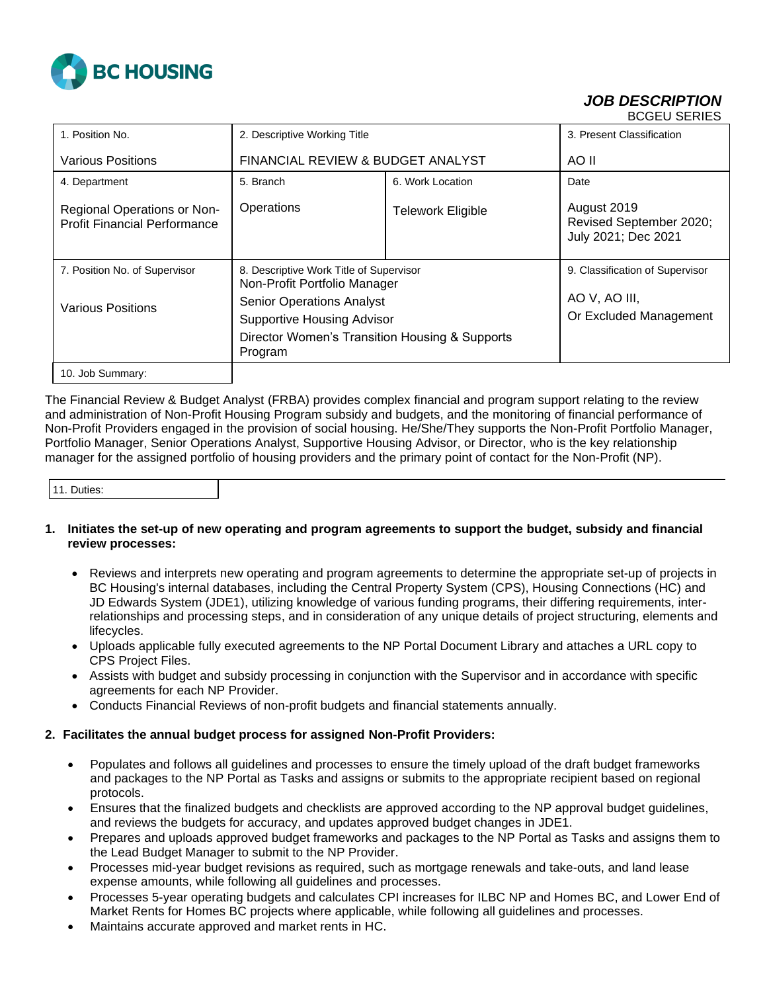

#### *JOB DESCRIPTION* BCGEU SERIES

|                                                                           |                                                                         |                          | -----------                                                   |
|---------------------------------------------------------------------------|-------------------------------------------------------------------------|--------------------------|---------------------------------------------------------------|
| 1. Position No.                                                           | 2. Descriptive Working Title                                            |                          | 3. Present Classification                                     |
| Various Positions                                                         | FINANCIAL REVIEW & BUDGET ANALYST                                       |                          | AO II                                                         |
| 4. Department                                                             | 5. Branch                                                               | 6. Work Location         | Date                                                          |
| <b>Regional Operations or Non-</b><br><b>Profit Financial Performance</b> | Operations                                                              | <b>Telework Eligible</b> | August 2019<br>Revised September 2020;<br>July 2021; Dec 2021 |
| 7. Position No. of Supervisor                                             | 8. Descriptive Work Title of Supervisor<br>Non-Profit Portfolio Manager |                          | 9. Classification of Supervisor                               |
| <b>Various Positions</b>                                                  | <b>Senior Operations Analyst</b>                                        |                          | AO V, AO III,                                                 |
|                                                                           | <b>Supportive Housing Advisor</b>                                       |                          | Or Excluded Management                                        |
|                                                                           | Director Women's Transition Housing & Supports<br>Program               |                          |                                                               |
| 10. Job Summary:                                                          |                                                                         |                          |                                                               |

The Financial Review & Budget Analyst (FRBA) provides complex financial and program support relating to the review and administration of Non-Profit Housing Program subsidy and budgets, and the monitoring of financial performance of Non-Profit Providers engaged in the provision of social housing. He/She/They supports the Non-Profit Portfolio Manager, Portfolio Manager, Senior Operations Analyst, Supportive Housing Advisor, or Director, who is the key relationship manager for the assigned portfolio of housing providers and the primary point of contact for the Non-Profit (NP).

| 11. Duties: |
|-------------|
|-------------|

### **1. Initiates the set-up of new operating and program agreements to support the budget, subsidy and financial review processes:**

- Reviews and interprets new operating and program agreements to determine the appropriate set-up of projects in BC Housing's internal databases, including the Central Property System (CPS), Housing Connections (HC) and JD Edwards System (JDE1), utilizing knowledge of various funding programs, their differing requirements, interrelationships and processing steps, and in consideration of any unique details of project structuring, elements and lifecycles.
- Uploads applicable fully executed agreements to the NP Portal Document Library and attaches a URL copy to CPS Project Files.
- Assists with budget and subsidy processing in conjunction with the Supervisor and in accordance with specific agreements for each NP Provider.
- Conducts Financial Reviews of non-profit budgets and financial statements annually.

### **2. Facilitates the annual budget process for assigned Non-Profit Providers:**

- Populates and follows all guidelines and processes to ensure the timely upload of the draft budget frameworks and packages to the NP Portal as Tasks and assigns or submits to the appropriate recipient based on regional protocols.
- Ensures that the finalized budgets and checklists are approved according to the NP approval budget guidelines, and reviews the budgets for accuracy, and updates approved budget changes in JDE1.
- Prepares and uploads approved budget frameworks and packages to the NP Portal as Tasks and assigns them to the Lead Budget Manager to submit to the NP Provider.
- Processes mid-year budget revisions as required, such as mortgage renewals and take-outs, and land lease expense amounts, while following all guidelines and processes.
- Processes 5-year operating budgets and calculates CPI increases for ILBC NP and Homes BC, and Lower End of Market Rents for Homes BC projects where applicable, while following all guidelines and processes.
- Maintains accurate approved and market rents in HC.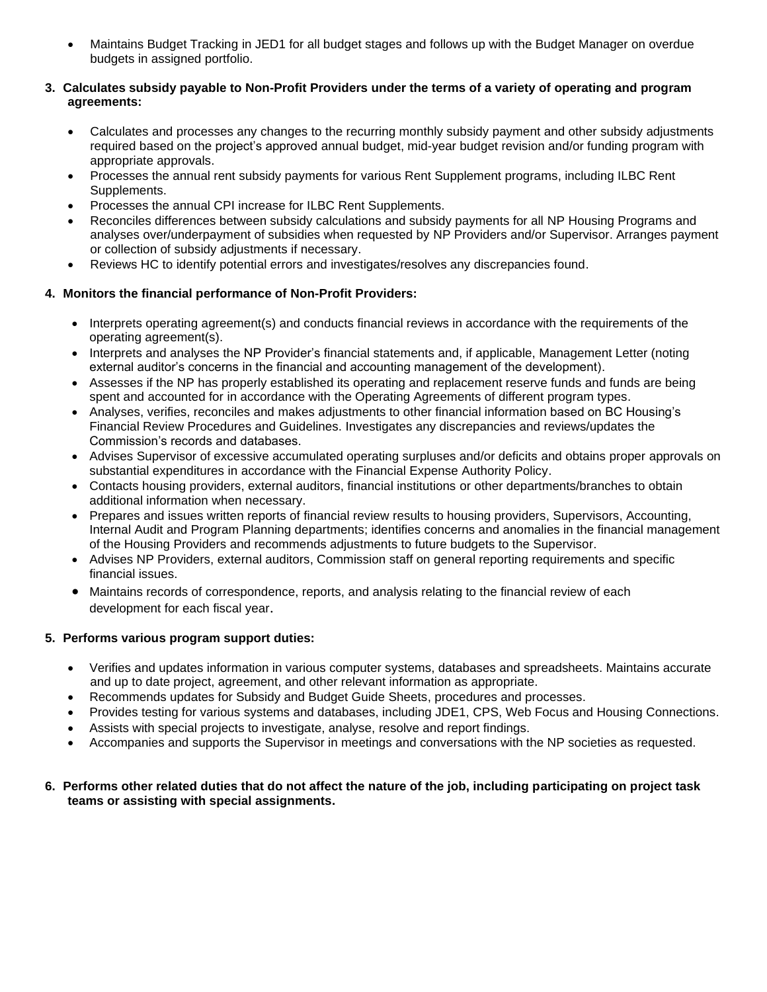• Maintains Budget Tracking in JED1 for all budget stages and follows up with the Budget Manager on overdue budgets in assigned portfolio.

### **3. Calculates subsidy payable to Non-Profit Providers under the terms of a variety of operating and program agreements:**

- Calculates and processes any changes to the recurring monthly subsidy payment and other subsidy adjustments required based on the project's approved annual budget, mid-year budget revision and/or funding program with appropriate approvals.
- Processes the annual rent subsidy payments for various Rent Supplement programs, including ILBC Rent Supplements.
- Processes the annual CPI increase for ILBC Rent Supplements.
- Reconciles differences between subsidy calculations and subsidy payments for all NP Housing Programs and analyses over/underpayment of subsidies when requested by NP Providers and/or Supervisor. Arranges payment or collection of subsidy adjustments if necessary.
- Reviews HC to identify potential errors and investigates/resolves any discrepancies found.

## **4. Monitors the financial performance of Non-Profit Providers:**

- Interprets operating agreement(s) and conducts financial reviews in accordance with the requirements of the operating agreement(s).
- Interprets and analyses the NP Provider's financial statements and, if applicable, Management Letter (noting external auditor's concerns in the financial and accounting management of the development).
- Assesses if the NP has properly established its operating and replacement reserve funds and funds are being spent and accounted for in accordance with the Operating Agreements of different program types.
- Analyses, verifies, reconciles and makes adjustments to other financial information based on BC Housing's Financial Review Procedures and Guidelines. Investigates any discrepancies and reviews/updates the Commission's records and databases.
- Advises Supervisor of excessive accumulated operating surpluses and/or deficits and obtains proper approvals on substantial expenditures in accordance with the Financial Expense Authority Policy.
- Contacts housing providers, external auditors, financial institutions or other departments/branches to obtain additional information when necessary.
- Prepares and issues written reports of financial review results to housing providers, Supervisors, Accounting, Internal Audit and Program Planning departments; identifies concerns and anomalies in the financial management of the Housing Providers and recommends adjustments to future budgets to the Supervisor.
- Advises NP Providers, external auditors, Commission staff on general reporting requirements and specific financial issues.
- Maintains records of correspondence, reports, and analysis relating to the financial review of each development for each fiscal year.

### **5. Performs various program support duties:**

- Verifies and updates information in various computer systems, databases and spreadsheets. Maintains accurate and up to date project, agreement, and other relevant information as appropriate.
- Recommends updates for Subsidy and Budget Guide Sheets, procedures and processes.
- Provides testing for various systems and databases, including JDE1, CPS, Web Focus and Housing Connections.
- Assists with special projects to investigate, analyse, resolve and report findings.
- Accompanies and supports the Supervisor in meetings and conversations with the NP societies as requested.

### **6. Performs other related duties that do not affect the nature of the job, including participating on project task teams or assisting with special assignments.**